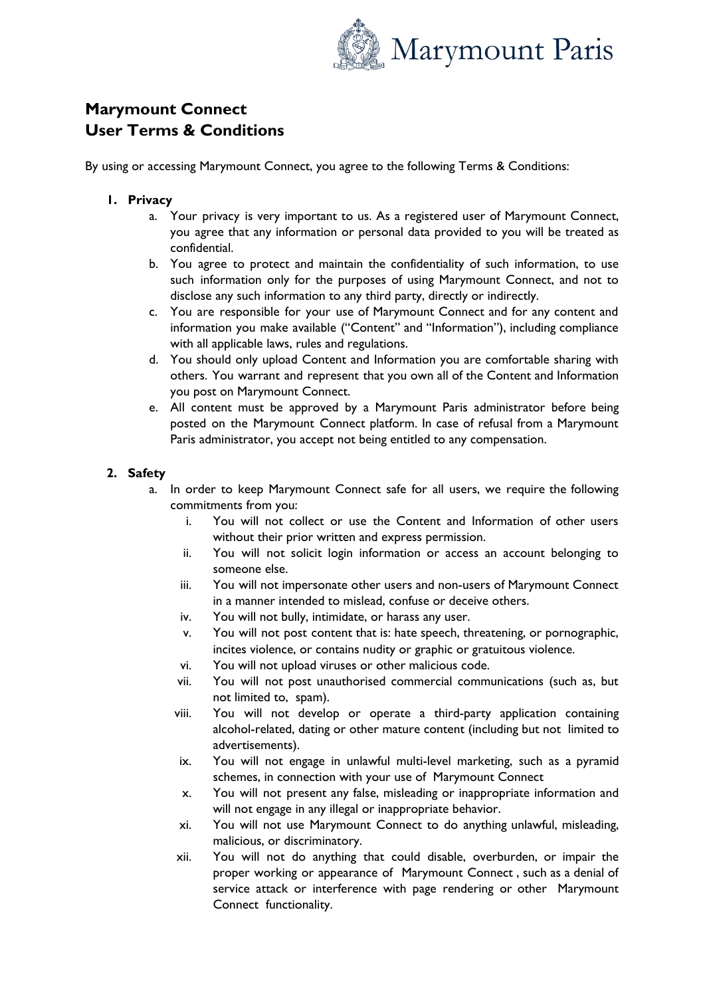

# **Marymount Connect User Terms & Conditions**

By using or accessing Marymount Connect, you agree to the following Terms & Conditions:

### **1. Privacy**

- a. Your privacy is very important to us. As a registered user of Marymount Connect, you agree that any information or personal data provided to you will be treated as confidential.
- b. You agree to protect and maintain the confidentiality of such information, to use such information only for the purposes of using Marymount Connect, and not to disclose any such information to any third party, directly or indirectly.
- c. You are responsible for your use of Marymount Connect and for any content and information you make available ("Content" and "Information"), including compliance with all applicable laws, rules and regulations.
- d. You should only upload Content and Information you are comfortable sharing with others. You warrant and represent that you own all of the Content and Information you post on Marymount Connect.
- e. All content must be approved by a Marymount Paris administrator before being posted on the Marymount Connect platform. In case of refusal from a Marymount Paris administrator, you accept not being entitled to any compensation.

### **2. Safety**

- a. In order to keep Marymount Connect safe for all users, we require the following commitments from you:
	- i. You will not collect or use the Content and Information of other users without their prior written and express permission.
	- ii. You will not solicit login information or access an account belonging to someone else.
	- iii. You will not impersonate other users and non-users of Marymount Connect in a manner intended to mislead, confuse or deceive others.
	- iv. You will not bully, intimidate, or harass any user.
	- v. You will not post content that is: hate speech, threatening, or pornographic, incites violence, or contains nudity or graphic or gratuitous violence.
	- vi. You will not upload viruses or other malicious code.
	- vii. You will not post unauthorised commercial communications (such as, but not limited to, spam).
	- viii. You will not develop or operate a third-party application containing alcohol-related, dating or other mature content (including but not limited to advertisements).
	- ix. You will not engage in unlawful multi-level marketing, such as a pyramid schemes, in connection with your use of Marymount Connect
	- x. You will not present any false, misleading or inappropriate information and will not engage in any illegal or inappropriate behavior.
	- xi. You will not use Marymount Connect to do anything unlawful, misleading, malicious, or discriminatory.
	- xii. You will not do anything that could disable, overburden, or impair the proper working or appearance of Marymount Connect , such as a denial of service attack or interference with page rendering or other Marymount Connect functionality.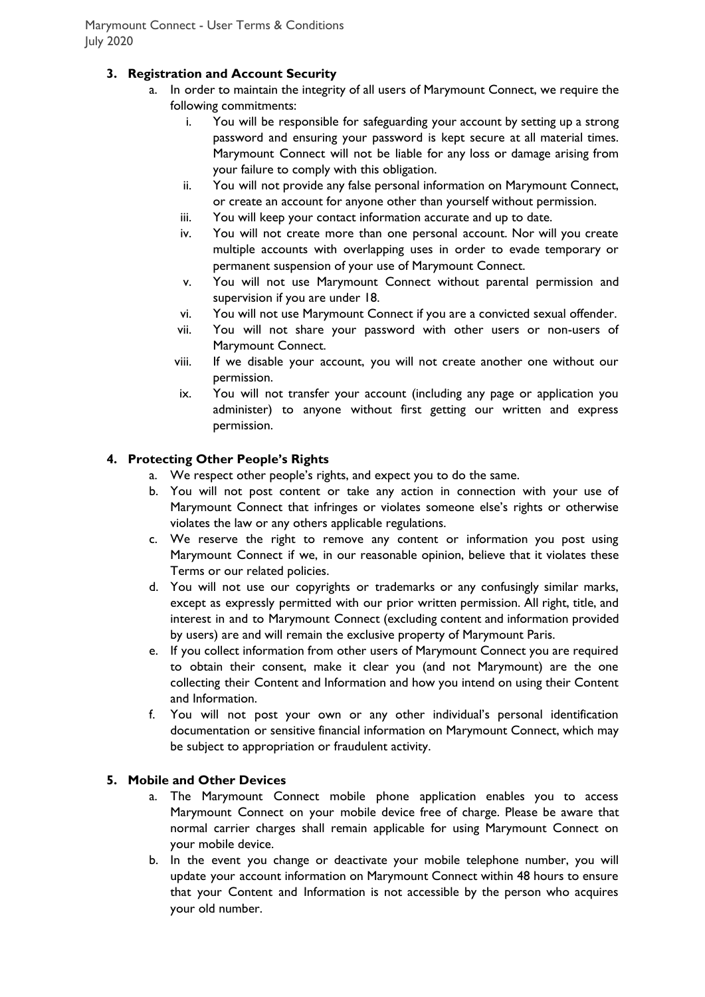## **3. Registration and Account Security**

- a. In order to maintain the integrity of all users of Marymount Connect, we require the following commitments:
	- i. You will be responsible for safeguarding your account by setting up a strong password and ensuring your password is kept secure at all material times. Marymount Connect will not be liable for any loss or damage arising from your failure to comply with this obligation.
	- ii. You will not provide any false personal information on Marymount Connect, or create an account for anyone other than yourself without permission.
	- iii. You will keep your contact information accurate and up to date.
	- iv. You will not create more than one personal account. Nor will you create multiple accounts with overlapping uses in order to evade temporary or permanent suspension of your use of Marymount Connect.
	- v. You will not use Marymount Connect without parental permission and supervision if you are under 18.
	- vi. You will not use Marymount Connect if you are a convicted sexual offender.
	- vii. You will not share your password with other users or non-users of Marymount Connect.
	- viii. If we disable your account, you will not create another one without our permission.
	- ix. You will not transfer your account (including any page or application you administer) to anyone without first getting our written and express permission.

## **4. Protecting Other People's Rights**

- a. We respect other people's rights, and expect you to do the same.
- b. You will not post content or take any action in connection with your use of Marymount Connect that infringes or violates someone else's rights or otherwise violates the law or any others applicable regulations.
- c. We reserve the right to remove any content or information you post using Marymount Connect if we, in our reasonable opinion, believe that it violates these Terms or our related policies.
- d. You will not use our copyrights or trademarks or any confusingly similar marks, except as expressly permitted with our prior written permission. All right, title, and interest in and to Marymount Connect (excluding content and information provided by users) are and will remain the exclusive property of Marymount Paris.
- e. If you collect information from other users of Marymount Connect you are required to obtain their consent, make it clear you (and not Marymount) are the one collecting their Content and Information and how you intend on using their Content and Information.
- f. You will not post your own or any other individual's personal identification documentation or sensitive financial information on Marymount Connect, which may be subject to appropriation or fraudulent activity.

## **5. Mobile and Other Devices**

- a. The Marymount Connect mobile phone application enables you to access Marymount Connect on your mobile device free of charge. Please be aware that normal carrier charges shall remain applicable for using Marymount Connect on your mobile device.
- b. In the event you change or deactivate your mobile telephone number, you will update your account information on Marymount Connect within 48 hours to ensure that your Content and Information is not accessible by the person who acquires your old number.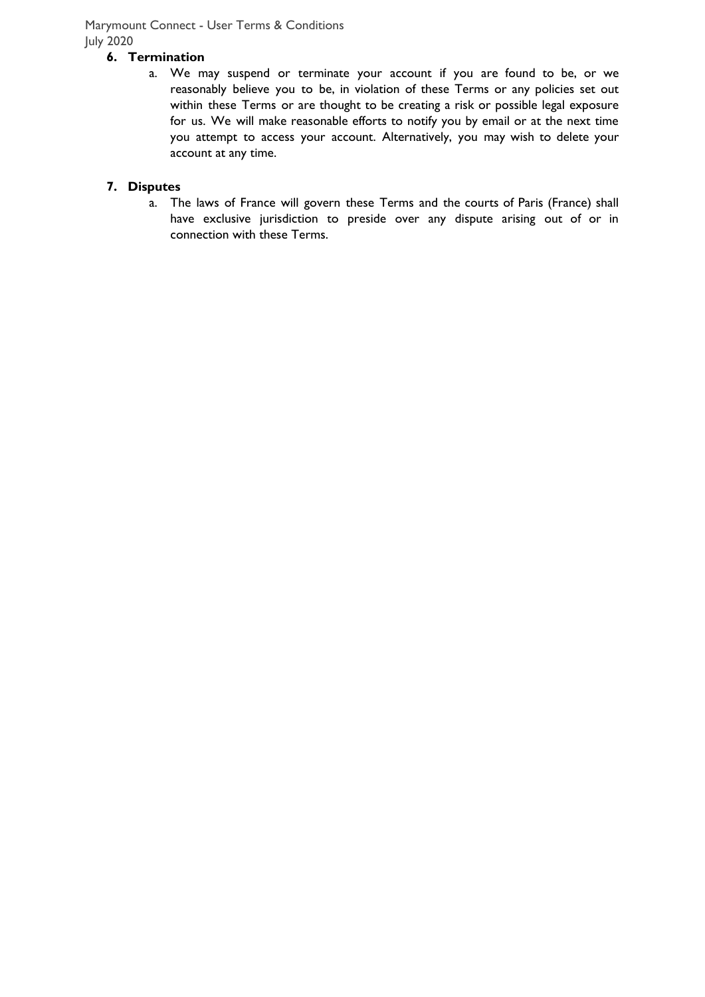Marymount Connect - User Terms & Conditions July 2020

### **6. Termination**

a. We may suspend or terminate your account if you are found to be, or we reasonably believe you to be, in violation of these Terms or any policies set out within these Terms or are thought to be creating a risk or possible legal exposure for us. We will make reasonable efforts to notify you by email or at the next time you attempt to access your account. Alternatively, you may wish to delete your account at any time.

### **7. Disputes**

a. The laws of France will govern these Terms and the courts of Paris (France) shall have exclusive jurisdiction to preside over any dispute arising out of or in connection with these Terms.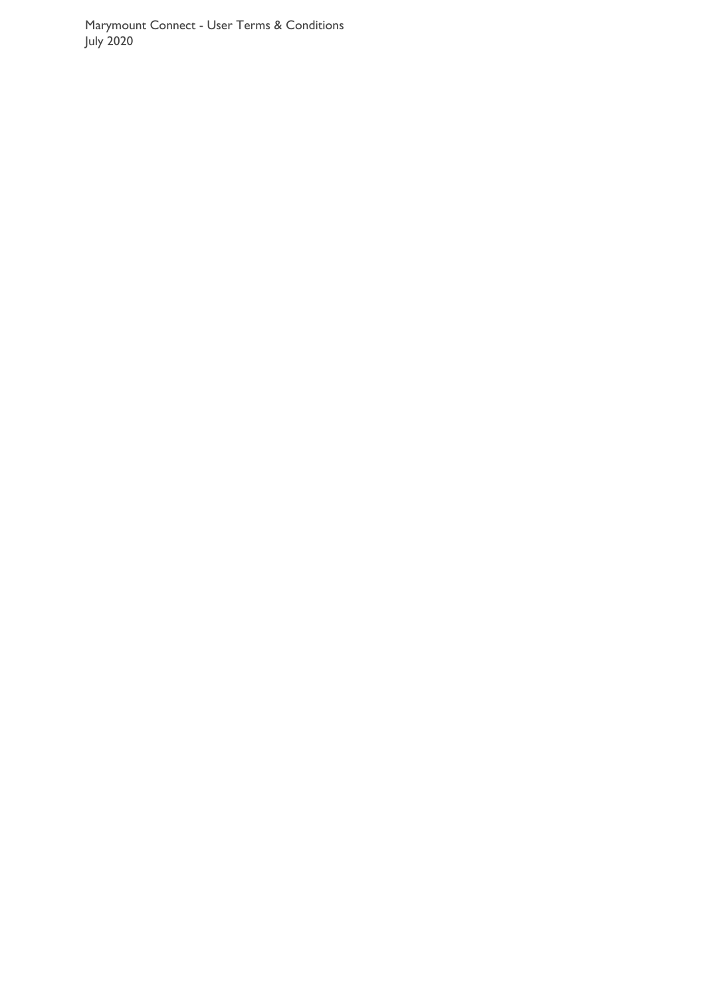Marymount Connect - User Terms & Conditions J uly 2 0 2 0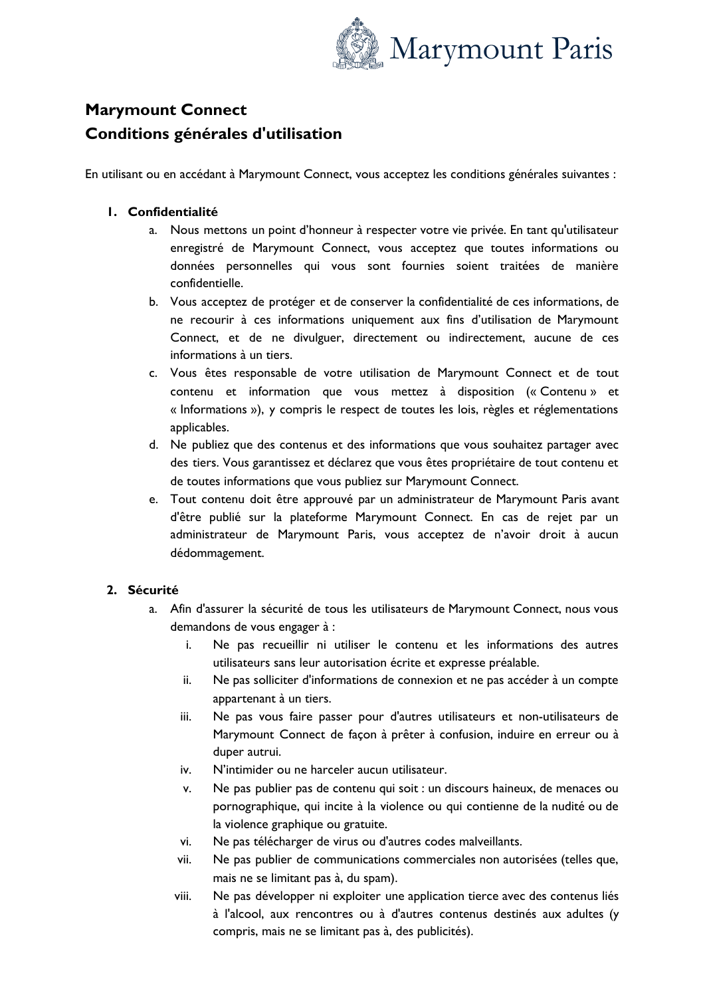

# **Marymount Connect Conditions générales d'utilisation**

En utilisant ou en accédant à Marymount Connect, vous acceptez les conditions générales suivantes :

### **1. Confidentialité**

- a. Nous mettons un point d'honneur à respecter votre vie privée. En tant qu'utilisateur enregistré de Marymount Connect, vous acceptez que toutes informations ou données personnelles qui vous sont fournies soient traitées de manière confidentielle.
- b. Vous acceptez de protéger et de conserver la confidentialité de ces informations, de ne recourir à ces informations uniquement aux fins d'utilisation de Marymount Connect, et de ne divulguer, directement ou indirectement, aucune de ces informations à un tiers.
- c. Vous êtes responsable de votre utilisation de Marymount Connect et de tout contenu et information que vous mettez à disposition (« Contenu » et « Informations »), y compris le respect de toutes les lois, règles et réglementations applicables.
- d. Ne publiez que des contenus et des informations que vous souhaitez partager avec des tiers. Vous garantissez et déclarez que vous êtes propriétaire de tout contenu et de toutes informations que vous publiez sur Marymount Connect.
- e. Tout contenu doit être approuvé par un administrateur de Marymount Paris avant d'être publié sur la plateforme Marymount Connect. En cas de rejet par un administrateur de Marymount Paris, vous acceptez de n'avoir droit à aucun dédommagement.

### **2. Sécurité**

- a. Afin d'assurer la sécurité de tous les utilisateurs de Marymount Connect, nous vous demandons de vous engager à :
	- i. Ne pas recueillir ni utiliser le contenu et les informations des autres utilisateurs sans leur autorisation écrite et expresse préalable.
	- ii. Ne pas solliciter d'informations de connexion et ne pas accéder à un compte appartenant à un tiers.
	- iii. Ne pas vous faire passer pour d'autres utilisateurs et non-utilisateurs de Marymount Connect de façon à prêter à confusion, induire en erreur ou à duper autrui.
	- iv. N'intimider ou ne harceler aucun utilisateur.
	- v. Ne pas publier pas de contenu qui soit : un discours haineux, de menaces ou pornographique, qui incite à la violence ou qui contienne de la nudité ou de la violence graphique ou gratuite.
	- vi. Ne pas télécharger de virus ou d'autres codes malveillants.
	- vii. Ne pas publier de communications commerciales non autorisées (telles que, mais ne se limitant pas à, du spam).
	- viii. Ne pas développer ni exploiter une application tierce avec des contenus liés à l'alcool, aux rencontres ou à d'autres contenus destinés aux adultes (y compris, mais ne se limitant pas à, des publicités).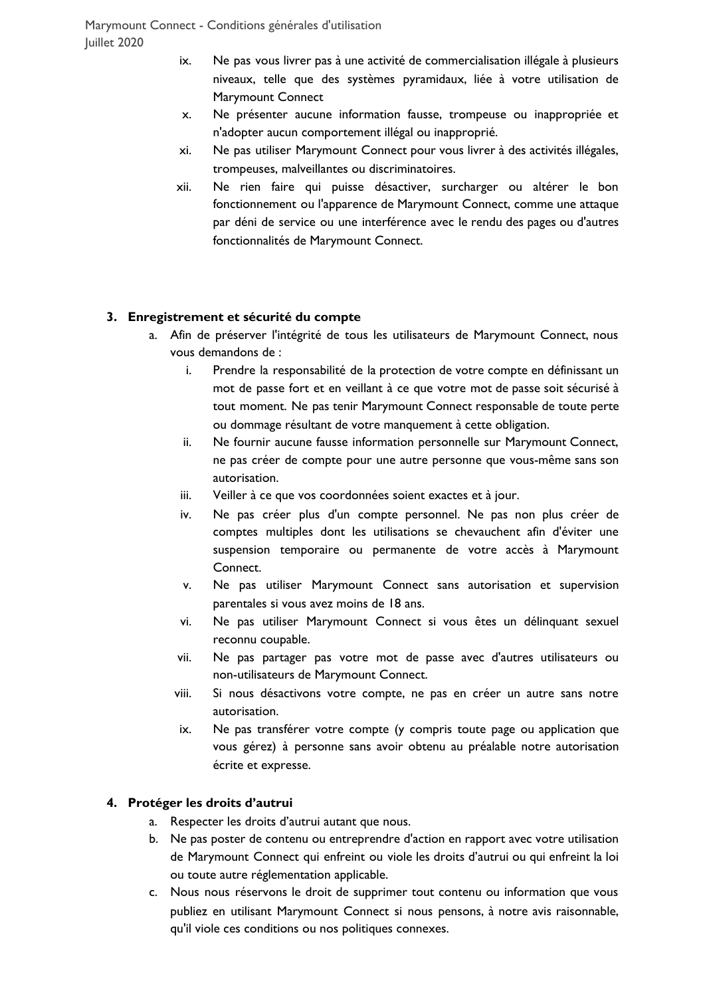Marymount Connect - Conditions générales d'utilisation Juillet 2020

- ix. Ne pas vous livrer pas à une activité de commercialisation illégale à plusieurs niveaux, telle que des systèmes pyramidaux, liée à votre utilisation de Marymount Connect
- x. Ne présenter aucune information fausse, trompeuse ou inappropriée et n'adopter aucun comportement illégal ou inapproprié.
- xi. Ne pas utiliser Marymount Connect pour vous livrer à des activités illégales, trompeuses, malveillantes ou discriminatoires.
- xii. Ne rien faire qui puisse désactiver, surcharger ou altérer le bon fonctionnement ou l'apparence de Marymount Connect, comme une attaque par déni de service ou une interférence avec le rendu des pages ou d'autres fonctionnalités de Marymount Connect.

#### **3. Enregistrement et sécurité du compte**

- a. Afin de préserver l'intégrité de tous les utilisateurs de Marymount Connect, nous vous demandons de :
	- i. Prendre la responsabilité de la protection de votre compte en définissant un mot de passe fort et en veillant à ce que votre mot de passe soit sécurisé à tout moment. Ne pas tenir Marymount Connect responsable de toute perte ou dommage résultant de votre manquement à cette obligation.
	- ii. Ne fournir aucune fausse information personnelle sur Marymount Connect, ne pas créer de compte pour une autre personne que vous-même sans son autorisation.
	- iii. Veiller à ce que vos coordonnées soient exactes et à jour.
	- iv. Ne pas créer plus d'un compte personnel. Ne pas non plus créer de comptes multiples dont les utilisations se chevauchent afin d'éviter une suspension temporaire ou permanente de votre accès à Marymount Connect.
	- v. Ne pas utiliser Marymount Connect sans autorisation et supervision parentales si vous avez moins de 18 ans.
	- vi. Ne pas utiliser Marymount Connect si vous êtes un délinquant sexuel reconnu coupable.
	- vii. Ne pas partager pas votre mot de passe avec d'autres utilisateurs ou non-utilisateurs de Marymount Connect.
	- viii. Si nous désactivons votre compte, ne pas en créer un autre sans notre autorisation.
	- ix. Ne pas transférer votre compte (y compris toute page ou application que vous gérez) à personne sans avoir obtenu au préalable notre autorisation écrite et expresse.

### **4. Protéger les droits d'autrui**

- a. Respecter les droits d'autrui autant que nous.
- b. Ne pas poster de contenu ou entreprendre d'action en rapport avec votre utilisation de Marymount Connect qui enfreint ou viole les droits d'autrui ou qui enfreint la loi ou toute autre réglementation applicable.
- c. Nous nous réservons le droit de supprimer tout contenu ou information que vous publiez en utilisant Marymount Connect si nous pensons, à notre avis raisonnable, qu'il viole ces conditions ou nos politiques connexes.